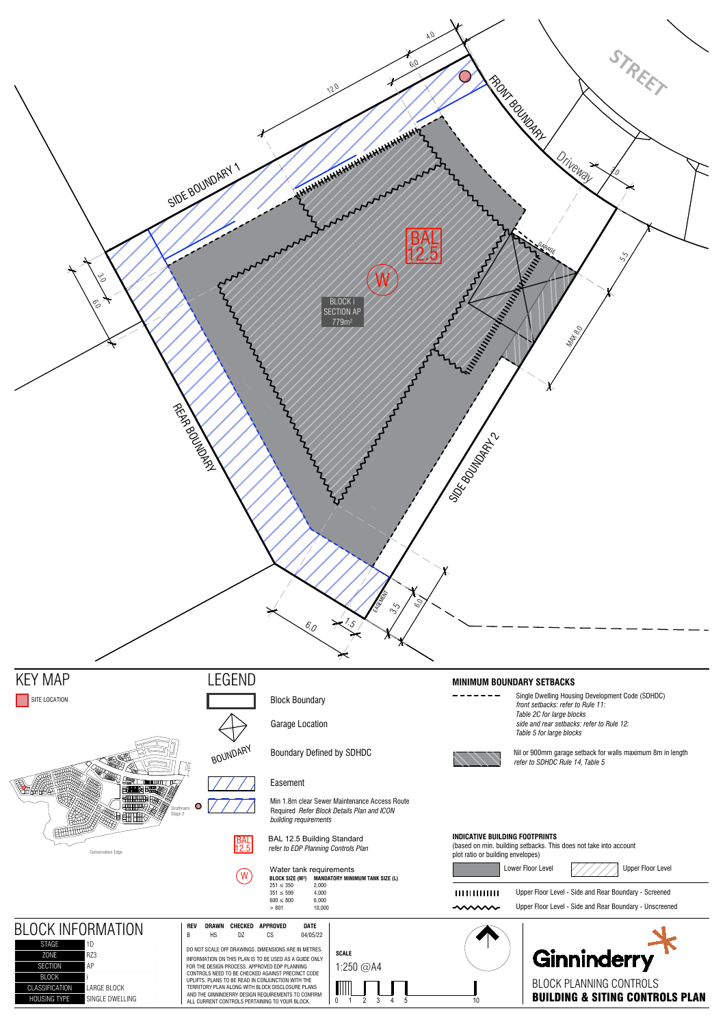